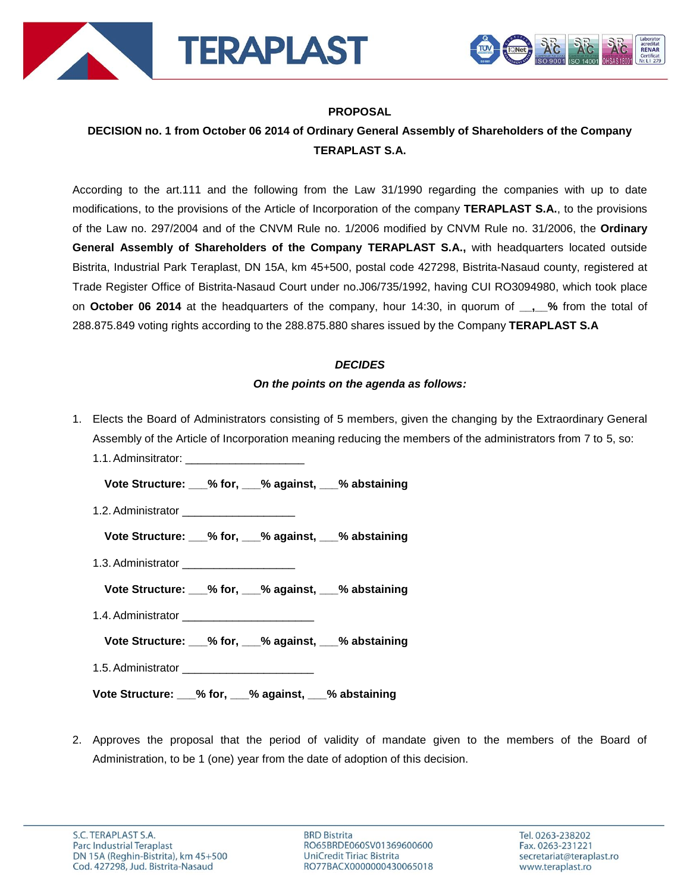



# **PROPOSAL**

# **DECISION no. 1 from October 06 2014 of Ordinary General Assembly of Shareholders of the Company TERAPLAST S.A.**

According to the art.111 and the following from the Law 31/1990 regarding the companies with up to date modifications, to the provisions of the Article of Incorporation of the company **TERAPLAST S.A.**, to the provisions of the Law no. 297/2004 and of the CNVM Rule no. 1/2006 modified by CNVM Rule no. 31/2006, the **Ordinary General Assembly of Shareholders of the Company TERAPLAST S.A.,** with headquarters located outside Bistrita, Industrial Park Teraplast, DN 15A, km 45+500, postal code 427298, Bistrita-Nasaud county, registered at Trade Register Office of Bistrita-Nasaud Court under no.J06/735/1992, having CUI RO3094980, which took place on **October 06 2014** at the headquarters of the company, hour 14:30, in quorum of **.** % from the total of 288.875.849 voting rights according to the 288.875.880 shares issued by the Company **TERAPLAST S.A**

## *DECIDES*

# *On the points on the agenda as follows:*

1. Elects the Board of Administrators consisting of 5 members, given the changing by the Extraordinary General Assembly of the Article of Incorporation meaning reducing the members of the administrators from 7 to 5, so: 1.1. Adminsitrator:

**Vote Structure: \_\_\_% for, \_\_\_% against, \_\_\_% abstaining**

- 1.2. Administrator
	- **Vote Structure: \_\_\_% for, \_\_\_% against, \_\_\_% abstaining**
- 1.3.Administrator \_\_\_\_\_\_\_\_\_\_\_\_\_\_\_\_\_\_
	- **Vote Structure: \_\_\_% for, \_\_\_% against, \_\_\_% abstaining**
- 1.4.Administrator \_\_\_\_\_\_\_\_\_\_\_\_\_\_\_\_\_\_\_\_\_
	- **Vote Structure: \_\_\_% for, \_\_\_% against, \_\_\_% abstaining**
- 1.5.Administrator \_\_\_\_\_\_\_\_\_\_\_\_\_\_\_\_\_\_\_\_\_

**Vote Structure: \_\_\_% for, \_\_\_% against, \_\_\_% abstaining**

2. Approves the proposal that the period of validity of mandate given to the members of the Board of Administration, to be 1 (one) year from the date of adoption of this decision.